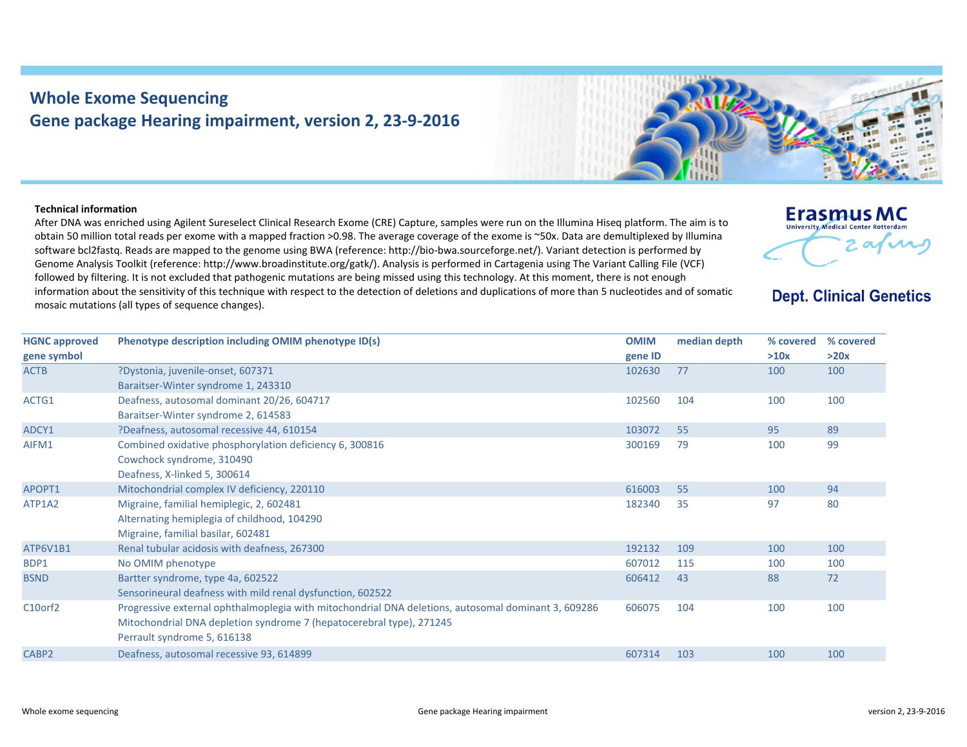## **Whole Exome Sequencing Gene package Hearing impairment, version 2, 23‐9‐2016**



## **Technical information**

After DNA was enriched using Agilent Sureselect Clinical Research Exome (CRE) Capture, samples were run on the Illumina Hiseq platform. The aim is to obtain 50 million total reads per exome with <sup>a</sup> mapped fraction >0.98. The average coverage of the exome is ~50x. Data are demultiplexed by Illumina software bcl2fastq. Reads are mapped to the genome using BWA (reference: http://bio‐bwa.sourceforge.net/). Variant detection is performed by Genome Analysis Toolkit (reference: http://www.broadinstitute.org/gatk/). Analysis is performed in Cartagenia using The Variant Calling File (VCF) followed by filtering. It is not excluded that pathogenic mutations are being missed using this technology. At this moment, there is not enough information about the sensitivity of this technique with respect to the detection of deletions and duplications of more than 5 nucleotides and of somatic mosaic mutations (all types of sequence changes).

## **Erasmus MC** University Medical Center Rotterdam 2 avril

## **Dept. Clinical Genetics**

| <b>HGNC approved</b>       | Phenotype description including OMIM phenotype ID(s)                                                | <b>OMIM</b>       | median depth | % covered<br>>10x | % covered<br>>20x |
|----------------------------|-----------------------------------------------------------------------------------------------------|-------------------|--------------|-------------------|-------------------|
| gene symbol<br><b>ACTB</b> | ?Dystonia, juvenile-onset, 607371                                                                   | gene ID<br>102630 | 77           | 100               | 100               |
|                            | Baraitser-Winter syndrome 1, 243310                                                                 |                   |              |                   |                   |
| ACTG1                      | Deafness, autosomal dominant 20/26, 604717                                                          | 102560            | 104          | 100               | 100               |
|                            | Baraitser-Winter syndrome 2, 614583                                                                 |                   |              |                   |                   |
| ADCY1                      | ?Deafness, autosomal recessive 44, 610154                                                           | 103072            | 55           | 95                | 89                |
| AIFM1                      | Combined oxidative phosphorylation deficiency 6, 300816                                             | 300169            | 79           | 100               | 99                |
|                            | Cowchock syndrome, 310490                                                                           |                   |              |                   |                   |
|                            | Deafness, X-linked 5, 300614                                                                        |                   |              |                   |                   |
| APOPT1                     | Mitochondrial complex IV deficiency, 220110                                                         | 616003            | 55           | 100               | 94                |
| ATP1A2                     | Migraine, familial hemiplegic, 2, 602481                                                            | 182340            | 35           | 97                | 80                |
|                            | Alternating hemiplegia of childhood, 104290                                                         |                   |              |                   |                   |
|                            | Migraine, familial basilar, 602481                                                                  |                   |              |                   |                   |
| ATP6V1B1                   | Renal tubular acidosis with deafness, 267300                                                        | 192132            | 109          | 100               | 100               |
| BDP1                       | No OMIM phenotype                                                                                   | 607012            | 115          | 100               | 100               |
| <b>BSND</b>                | Bartter syndrome, type 4a, 602522                                                                   | 606412            | 43           | 88                | 72                |
|                            | Sensorineural deafness with mild renal dysfunction, 602522                                          |                   |              |                   |                   |
| C10orf2                    | Progressive external ophthalmoplegia with mitochondrial DNA deletions, autosomal dominant 3, 609286 | 606075            | 104          | 100               | 100               |
|                            | Mitochondrial DNA depletion syndrome 7 (hepatocerebral type), 271245                                |                   |              |                   |                   |
|                            | Perrault syndrome 5, 616138                                                                         |                   |              |                   |                   |
| CABP <sub>2</sub>          | Deafness, autosomal recessive 93, 614899                                                            | 607314            | 103          | 100               | 100               |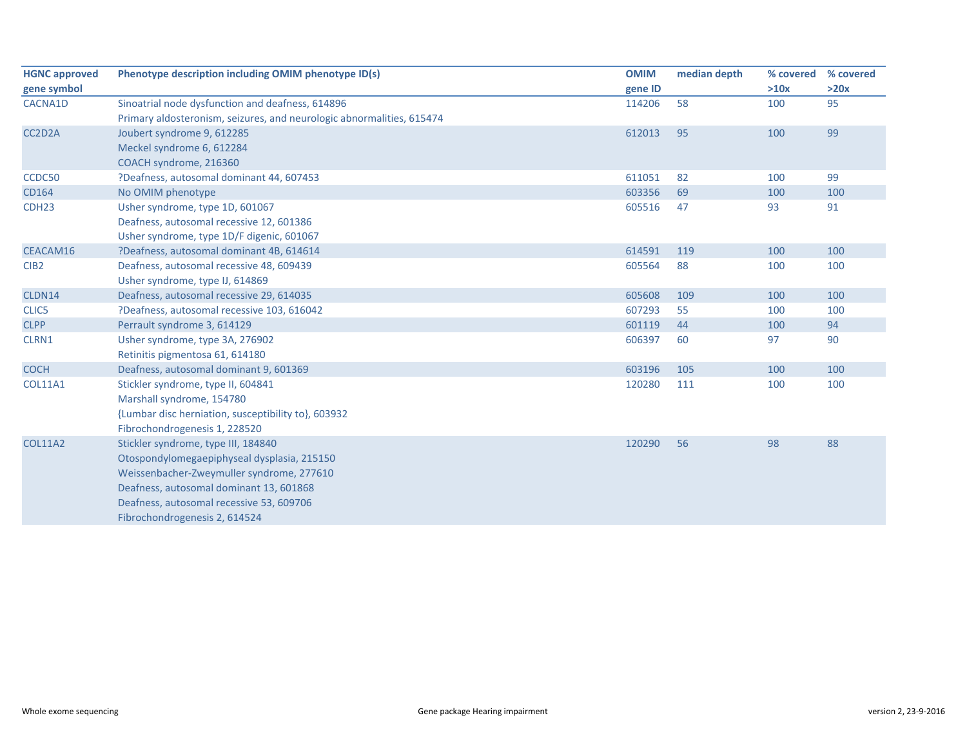| <b>HGNC approved</b> | Phenotype description including OMIM phenotype ID(s)                  | <b>OMIM</b> | median depth | % covered | % covered |
|----------------------|-----------------------------------------------------------------------|-------------|--------------|-----------|-----------|
| gene symbol          |                                                                       | gene ID     |              | >10x      | >20x      |
| CACNA1D              | Sinoatrial node dysfunction and deafness, 614896                      | 114206      | 58           | 100       | 95        |
|                      | Primary aldosteronism, seizures, and neurologic abnormalities, 615474 |             |              |           |           |
| CC2D2A               | Joubert syndrome 9, 612285                                            | 612013      | 95           | 100       | 99        |
|                      | Meckel syndrome 6, 612284                                             |             |              |           |           |
|                      | COACH syndrome, 216360                                                |             |              |           |           |
| CCDC50               | ?Deafness, autosomal dominant 44, 607453                              | 611051      | 82           | 100       | 99        |
| CD164                | No OMIM phenotype                                                     | 603356      | 69           | 100       | 100       |
| CDH <sub>23</sub>    | Usher syndrome, type 1D, 601067                                       | 605516      | 47           | 93        | 91        |
|                      | Deafness, autosomal recessive 12, 601386                              |             |              |           |           |
|                      | Usher syndrome, type 1D/F digenic, 601067                             |             |              |           |           |
| CEACAM16             | ?Deafness, autosomal dominant 4B, 614614                              | 614591      | 119          | 100       | 100       |
| CIB <sub>2</sub>     | Deafness, autosomal recessive 48, 609439                              | 605564      | 88           | 100       | 100       |
|                      | Usher syndrome, type IJ, 614869                                       |             |              |           |           |
| CLDN14               | Deafness, autosomal recessive 29, 614035                              | 605608      | 109          | 100       | 100       |
| CLIC5                | ?Deafness, autosomal recessive 103, 616042                            | 607293      | 55           | 100       | 100       |
| <b>CLPP</b>          | Perrault syndrome 3, 614129                                           | 601119      | 44           | 100       | 94        |
| CLRN1                | Usher syndrome, type 3A, 276902                                       | 606397      | 60           | 97        | 90        |
|                      | Retinitis pigmentosa 61, 614180                                       |             |              |           |           |
| <b>COCH</b>          | Deafness, autosomal dominant 9, 601369                                | 603196      | 105          | 100       | 100       |
| <b>COL11A1</b>       | Stickler syndrome, type II, 604841                                    | 120280      | 111          | 100       | 100       |
|                      | Marshall syndrome, 154780                                             |             |              |           |           |
|                      | {Lumbar disc herniation, susceptibility to}, 603932                   |             |              |           |           |
|                      | Fibrochondrogenesis 1, 228520                                         |             |              |           |           |
| <b>COL11A2</b>       | Stickler syndrome, type III, 184840                                   | 120290      | 56           | 98        | 88        |
|                      | Otospondylomegaepiphyseal dysplasia, 215150                           |             |              |           |           |
|                      | Weissenbacher-Zweymuller syndrome, 277610                             |             |              |           |           |
|                      | Deafness, autosomal dominant 13, 601868                               |             |              |           |           |
|                      | Deafness, autosomal recessive 53, 609706                              |             |              |           |           |
|                      | Fibrochondrogenesis 2, 614524                                         |             |              |           |           |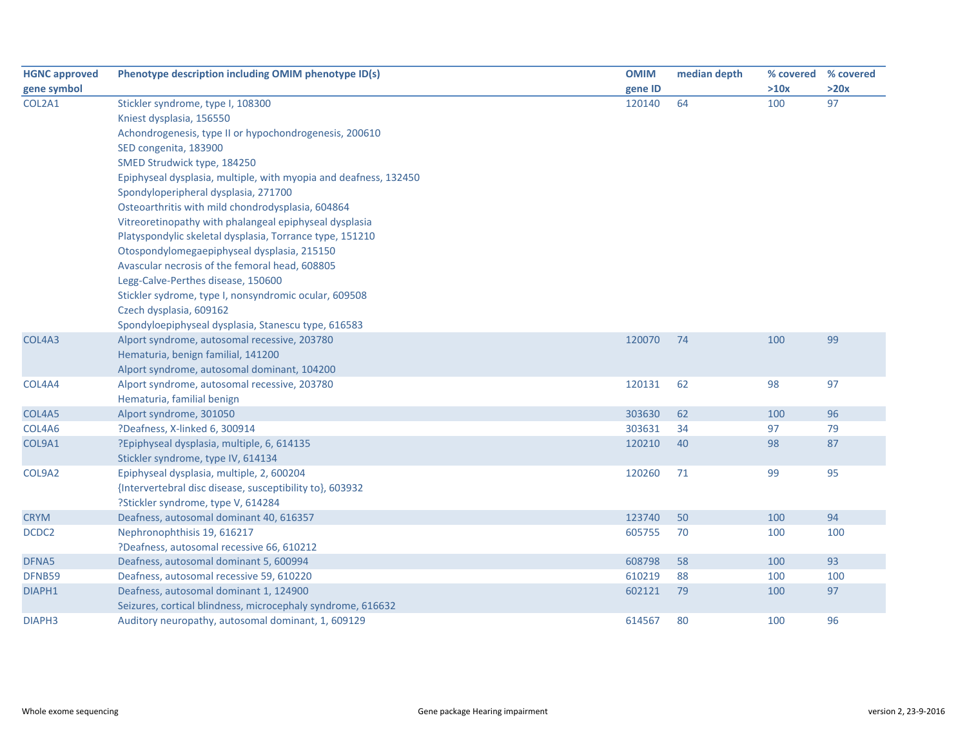| <b>HGNC approved</b> | Phenotype description including OMIM phenotype ID(s)             | <b>OMIM</b> | median depth |      | % covered % covered |
|----------------------|------------------------------------------------------------------|-------------|--------------|------|---------------------|
| gene symbol          |                                                                  | gene ID     |              | >10x | >20x                |
| COL2A1               | Stickler syndrome, type I, 108300                                | 120140      | 64           | 100  | 97                  |
|                      | Kniest dysplasia, 156550                                         |             |              |      |                     |
|                      | Achondrogenesis, type II or hypochondrogenesis, 200610           |             |              |      |                     |
|                      | SED congenita, 183900                                            |             |              |      |                     |
|                      | SMED Strudwick type, 184250                                      |             |              |      |                     |
|                      | Epiphyseal dysplasia, multiple, with myopia and deafness, 132450 |             |              |      |                     |
|                      | Spondyloperipheral dysplasia, 271700                             |             |              |      |                     |
|                      | Osteoarthritis with mild chondrodysplasia, 604864                |             |              |      |                     |
|                      | Vitreoretinopathy with phalangeal epiphyseal dysplasia           |             |              |      |                     |
|                      | Platyspondylic skeletal dysplasia, Torrance type, 151210         |             |              |      |                     |
|                      | Otospondylomegaepiphyseal dysplasia, 215150                      |             |              |      |                     |
|                      | Avascular necrosis of the femoral head, 608805                   |             |              |      |                     |
|                      | Legg-Calve-Perthes disease, 150600                               |             |              |      |                     |
|                      | Stickler sydrome, type I, nonsyndromic ocular, 609508            |             |              |      |                     |
|                      | Czech dysplasia, 609162                                          |             |              |      |                     |
|                      | Spondyloepiphyseal dysplasia, Stanescu type, 616583              |             |              |      |                     |
| COL4A3               | Alport syndrome, autosomal recessive, 203780                     | 120070      | 74           | 100  | 99                  |
|                      | Hematuria, benign familial, 141200                               |             |              |      |                     |
|                      | Alport syndrome, autosomal dominant, 104200                      |             |              |      |                     |
| COL4A4               | Alport syndrome, autosomal recessive, 203780                     | 120131      | 62           | 98   | 97                  |
|                      | Hematuria, familial benign                                       |             |              |      |                     |
| COL4A5               | Alport syndrome, 301050                                          | 303630      | 62           | 100  | 96                  |
| COL4A6               | ?Deafness, X-linked 6, 300914                                    | 303631      | 34           | 97   | 79                  |
| COL9A1               | ?Epiphyseal dysplasia, multiple, 6, 614135                       | 120210      | 40           | 98   | 87                  |
|                      | Stickler syndrome, type IV, 614134                               |             |              |      |                     |
| COL9A2               | Epiphyseal dysplasia, multiple, 2, 600204                        | 120260      | 71           | 99   | 95                  |
|                      | {Intervertebral disc disease, susceptibility to}, 603932         |             |              |      |                     |
|                      | ?Stickler syndrome, type V, 614284                               |             |              |      |                     |
| <b>CRYM</b>          | Deafness, autosomal dominant 40, 616357                          | 123740      | 50           | 100  | 94                  |
| DCDC2                | Nephronophthisis 19, 616217                                      | 605755      | 70           | 100  | 100                 |
|                      | ?Deafness, autosomal recessive 66, 610212                        |             |              |      |                     |
| DFNA5                | Deafness, autosomal dominant 5, 600994                           | 608798      | 58           | 100  | 93                  |
| DFNB59               | Deafness, autosomal recessive 59, 610220                         | 610219      | 88           | 100  | 100                 |
| DIAPH1               | Deafness, autosomal dominant 1, 124900                           | 602121      | 79           | 100  | 97                  |
|                      | Seizures, cortical blindness, microcephaly syndrome, 616632      |             |              |      |                     |
| DIAPH3               | Auditory neuropathy, autosomal dominant, 1, 609129               | 614567      | 80           | 100  | 96                  |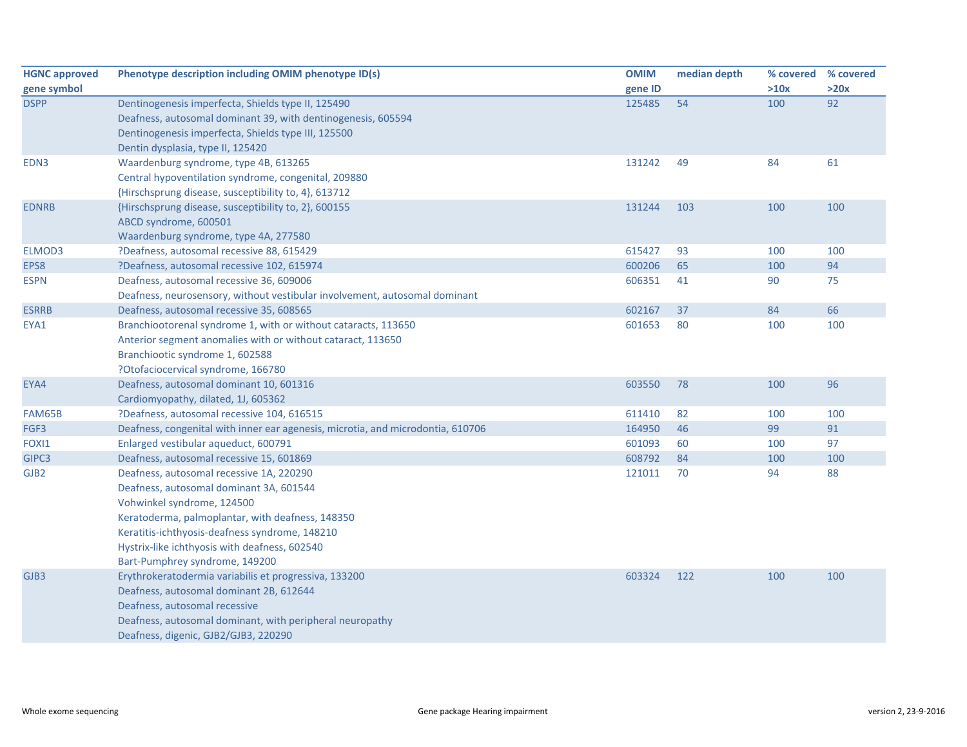| <b>HGNC approved</b> | Phenotype description including OMIM phenotype ID(s)                            | <b>OMIM</b> | median depth | % covered | % covered |
|----------------------|---------------------------------------------------------------------------------|-------------|--------------|-----------|-----------|
| gene symbol          |                                                                                 | gene ID     |              | >10x      | >20x      |
| <b>DSPP</b>          | Dentinogenesis imperfecta, Shields type II, 125490                              | 125485      | 54           | 100       | 92        |
|                      | Deafness, autosomal dominant 39, with dentinogenesis, 605594                    |             |              |           |           |
|                      | Dentinogenesis imperfecta, Shields type III, 125500                             |             |              |           |           |
|                      | Dentin dysplasia, type II, 125420                                               |             |              |           |           |
| EDN3                 | Waardenburg syndrome, type 4B, 613265                                           | 131242      | 49           | 84        | 61        |
|                      | Central hypoventilation syndrome, congenital, 209880                            |             |              |           |           |
|                      | {Hirschsprung disease, susceptibility to, 4}, 613712                            |             |              |           |           |
| <b>EDNRB</b>         | {Hirschsprung disease, susceptibility to, 2}, 600155                            | 131244      | 103          | 100       | 100       |
|                      | ABCD syndrome, 600501                                                           |             |              |           |           |
|                      | Waardenburg syndrome, type 4A, 277580                                           |             |              |           |           |
| ELMOD3               | ?Deafness, autosomal recessive 88, 615429                                       | 615427      | 93           | 100       | 100       |
| EPS8                 | ?Deafness, autosomal recessive 102, 615974                                      | 600206      | 65           | 100       | 94        |
| <b>ESPN</b>          | Deafness, autosomal recessive 36, 609006                                        | 606351      | 41           | 90        | 75        |
|                      | Deafness, neurosensory, without vestibular involvement, autosomal dominant      |             |              |           |           |
| <b>ESRRB</b>         | Deafness, autosomal recessive 35, 608565                                        | 602167      | 37           | 84        | 66        |
| EYA1                 | Branchiootorenal syndrome 1, with or without cataracts, 113650                  | 601653      | 80           | 100       | 100       |
|                      | Anterior segment anomalies with or without cataract, 113650                     |             |              |           |           |
|                      | Branchiootic syndrome 1, 602588                                                 |             |              |           |           |
|                      | ?Otofaciocervical syndrome, 166780                                              |             |              |           |           |
| EYA4                 | Deafness, autosomal dominant 10, 601316                                         | 603550      | 78           | 100       | 96        |
|                      | Cardiomyopathy, dilated, 1J, 605362                                             |             |              |           |           |
| FAM65B               | ?Deafness, autosomal recessive 104, 616515                                      | 611410      | 82           | 100       | 100       |
| FGF3                 | Deafness, congenital with inner ear agenesis, microtia, and microdontia, 610706 | 164950      | 46           | 99        | 91        |
| FOXI1                | Enlarged vestibular aqueduct, 600791                                            | 601093      | 60           | 100       | 97        |
| GIPC3                | Deafness, autosomal recessive 15, 601869                                        | 608792      | 84           | 100       | 100       |
| GJB <sub>2</sub>     | Deafness, autosomal recessive 1A, 220290                                        | 121011      | 70           | 94        | 88        |
|                      | Deafness, autosomal dominant 3A, 601544                                         |             |              |           |           |
|                      | Vohwinkel syndrome, 124500                                                      |             |              |           |           |
|                      | Keratoderma, palmoplantar, with deafness, 148350                                |             |              |           |           |
|                      | Keratitis-ichthyosis-deafness syndrome, 148210                                  |             |              |           |           |
|                      | Hystrix-like ichthyosis with deafness, 602540                                   |             |              |           |           |
|                      | Bart-Pumphrey syndrome, 149200                                                  |             |              |           |           |
| GJB3                 | Erythrokeratodermia variabilis et progressiva, 133200                           | 603324      | 122          | 100       | 100       |
|                      | Deafness, autosomal dominant 2B, 612644                                         |             |              |           |           |
|                      | Deafness, autosomal recessive                                                   |             |              |           |           |
|                      | Deafness, autosomal dominant, with peripheral neuropathy                        |             |              |           |           |
|                      | Deafness, digenic, GJB2/GJB3, 220290                                            |             |              |           |           |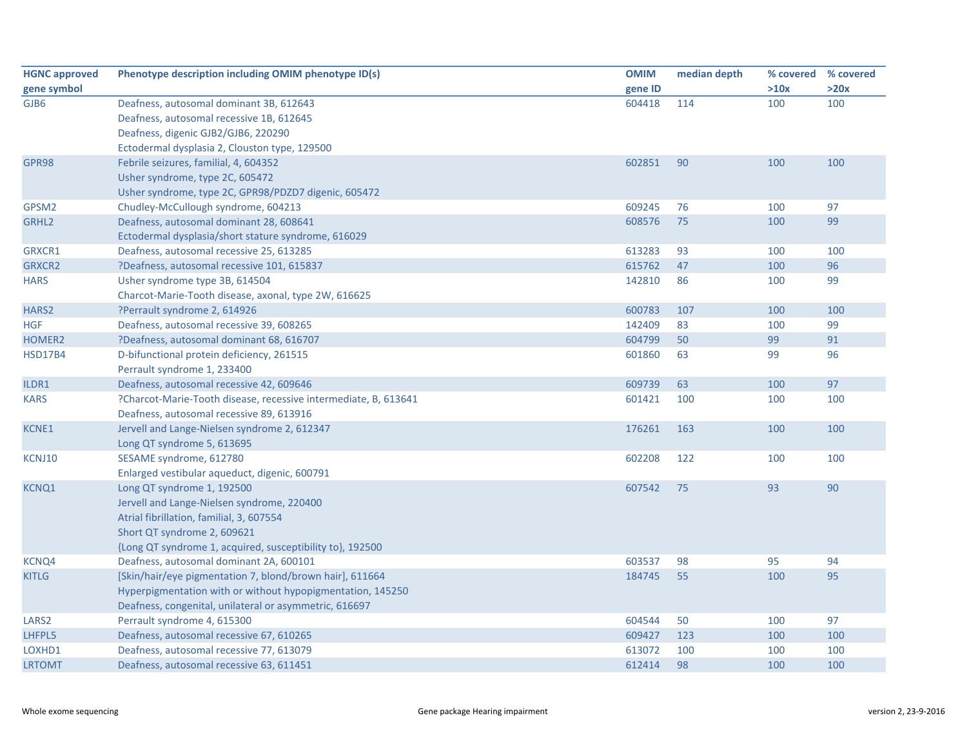| <b>HGNC approved</b> | Phenotype description including OMIM phenotype ID(s)            | <b>OMIM</b> | median depth | % covered | % covered |
|----------------------|-----------------------------------------------------------------|-------------|--------------|-----------|-----------|
| gene symbol          |                                                                 | gene ID     |              | >10x      | >20x      |
| GJB6                 | Deafness, autosomal dominant 3B, 612643                         | 604418      | 114          | 100       | 100       |
|                      | Deafness, autosomal recessive 1B, 612645                        |             |              |           |           |
|                      | Deafness, digenic GJB2/GJB6, 220290                             |             |              |           |           |
|                      | Ectodermal dysplasia 2, Clouston type, 129500                   |             |              |           |           |
| GPR98                | Febrile seizures, familial, 4, 604352                           | 602851      | 90           | 100       | 100       |
|                      | Usher syndrome, type 2C, 605472                                 |             |              |           |           |
|                      | Usher syndrome, type 2C, GPR98/PDZD7 digenic, 605472            |             |              |           |           |
| GPSM2                | Chudley-McCullough syndrome, 604213                             | 609245      | 76           | 100       | 97        |
| GRHL <sub>2</sub>    | Deafness, autosomal dominant 28, 608641                         | 608576      | 75           | 100       | 99        |
|                      | Ectodermal dysplasia/short stature syndrome, 616029             |             |              |           |           |
| GRXCR1               | Deafness, autosomal recessive 25, 613285                        | 613283      | 93           | 100       | 100       |
| <b>GRXCR2</b>        | ?Deafness, autosomal recessive 101, 615837                      | 615762      | 47           | 100       | 96        |
| <b>HARS</b>          | Usher syndrome type 3B, 614504                                  | 142810      | 86           | 100       | 99        |
|                      | Charcot-Marie-Tooth disease, axonal, type 2W, 616625            |             |              |           |           |
| HARS <sub>2</sub>    | ?Perrault syndrome 2, 614926                                    | 600783      | 107          | 100       | 100       |
| <b>HGF</b>           | Deafness, autosomal recessive 39, 608265                        | 142409      | 83           | 100       | 99        |
| HOMER2               | ?Deafness, autosomal dominant 68, 616707                        | 604799      | 50           | 99        | 91        |
| <b>HSD17B4</b>       | D-bifunctional protein deficiency, 261515                       | 601860      | 63           | 99        | 96        |
|                      | Perrault syndrome 1, 233400                                     |             |              |           |           |
| ILDR1                | Deafness, autosomal recessive 42, 609646                        | 609739      | 63           | 100       | 97        |
| <b>KARS</b>          | ?Charcot-Marie-Tooth disease, recessive intermediate, B, 613641 | 601421      | 100          | 100       | 100       |
|                      | Deafness, autosomal recessive 89, 613916                        |             |              |           |           |
| <b>KCNE1</b>         | Jervell and Lange-Nielsen syndrome 2, 612347                    | 176261      | 163          | 100       | 100       |
|                      | Long QT syndrome 5, 613695                                      |             |              |           |           |
| KCNJ10               | SESAME syndrome, 612780                                         | 602208      | 122          | 100       | 100       |
|                      | Enlarged vestibular aqueduct, digenic, 600791                   |             |              |           |           |
| KCNQ1                | Long QT syndrome 1, 192500                                      | 607542      | 75           | 93        | 90        |
|                      | Jervell and Lange-Nielsen syndrome, 220400                      |             |              |           |           |
|                      | Atrial fibrillation, familial, 3, 607554                        |             |              |           |           |
|                      | Short QT syndrome 2, 609621                                     |             |              |           |           |
|                      | {Long QT syndrome 1, acquired, susceptibility to}, 192500       |             |              |           |           |
| KCNQ4                | Deafness, autosomal dominant 2A, 600101                         | 603537      | 98           | 95        | 94        |
| <b>KITLG</b>         | [Skin/hair/eye pigmentation 7, blond/brown hair], 611664        | 184745      | 55           | 100       | 95        |
|                      | Hyperpigmentation with or without hypopigmentation, 145250      |             |              |           |           |
|                      | Deafness, congenital, unilateral or asymmetric, 616697          |             |              |           |           |
| LARS <sub>2</sub>    | Perrault syndrome 4, 615300                                     | 604544      | 50           | 100       | 97        |
| LHFPL5               | Deafness, autosomal recessive 67, 610265                        | 609427      | 123          | 100       | 100       |
| LOXHD1               | Deafness, autosomal recessive 77, 613079                        | 613072      | 100          | 100       | 100       |
| <b>LRTOMT</b>        | Deafness, autosomal recessive 63, 611451                        | 612414      | 98           | 100       | 100       |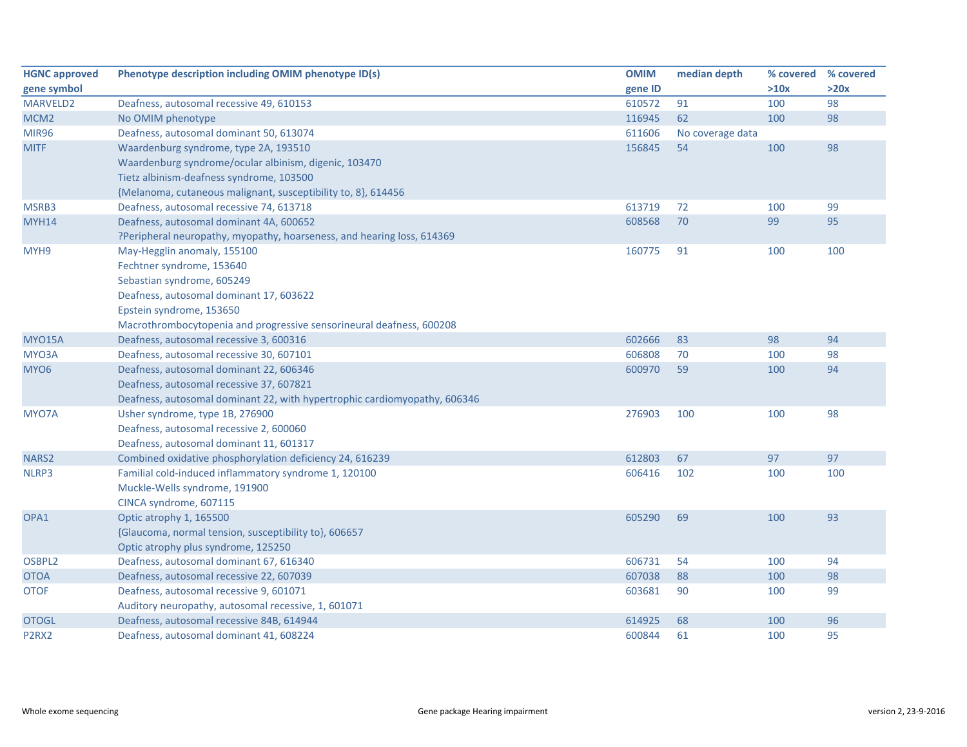| <b>HGNC approved</b>           | Phenotype description including OMIM phenotype ID(s)                      | <b>OMIM</b> | median depth     | % covered | % covered |
|--------------------------------|---------------------------------------------------------------------------|-------------|------------------|-----------|-----------|
| gene symbol                    |                                                                           | gene ID     |                  | >10x      | >20x      |
| MARVELD2                       | Deafness, autosomal recessive 49, 610153                                  | 610572      | 91               | 100       | 98        |
| MCM <sub>2</sub>               | No OMIM phenotype                                                         | 116945      | 62               | 100       | 98        |
| <b>MIR96</b>                   | Deafness, autosomal dominant 50, 613074                                   | 611606      | No coverage data |           |           |
| <b>MITF</b>                    | Waardenburg syndrome, type 2A, 193510                                     | 156845      | 54               | 100       | 98        |
|                                | Waardenburg syndrome/ocular albinism, digenic, 103470                     |             |                  |           |           |
|                                | Tietz albinism-deafness syndrome, 103500                                  |             |                  |           |           |
|                                | {Melanoma, cutaneous malignant, susceptibility to, 8}, 614456             |             |                  |           |           |
| MSRB3                          | Deafness, autosomal recessive 74, 613718                                  | 613719      | 72               | 100       | 99        |
| MYH14                          | Deafness, autosomal dominant 4A, 600652                                   | 608568      | 70               | 99        | 95        |
|                                | ?Peripheral neuropathy, myopathy, hoarseness, and hearing loss, 614369    |             |                  |           |           |
| MYH9                           | May-Hegglin anomaly, 155100                                               | 160775      | 91               | 100       | 100       |
|                                | Fechtner syndrome, 153640                                                 |             |                  |           |           |
|                                | Sebastian syndrome, 605249                                                |             |                  |           |           |
|                                | Deafness, autosomal dominant 17, 603622                                   |             |                  |           |           |
|                                | Epstein syndrome, 153650                                                  |             |                  |           |           |
|                                | Macrothrombocytopenia and progressive sensorineural deafness, 600208      |             |                  |           |           |
| <b>MYO15A</b>                  | Deafness, autosomal recessive 3, 600316                                   | 602666      | 83               | 98        | 94        |
| MYO3A                          | Deafness, autosomal recessive 30, 607101                                  | 606808      | 70               | 100       | 98        |
| MYO <sub>6</sub>               | Deafness, autosomal dominant 22, 606346                                   | 600970      | 59               | 100       | 94        |
|                                | Deafness, autosomal recessive 37, 607821                                  |             |                  |           |           |
|                                | Deafness, autosomal dominant 22, with hypertrophic cardiomyopathy, 606346 |             |                  |           |           |
| MYO7A                          | Usher syndrome, type 1B, 276900                                           | 276903      | 100              | 100       | 98        |
|                                | Deafness, autosomal recessive 2, 600060                                   |             |                  |           |           |
|                                | Deafness, autosomal dominant 11, 601317                                   |             |                  |           |           |
| NARS <sub>2</sub>              | Combined oxidative phosphorylation deficiency 24, 616239                  | 612803      | 67               | 97        | 97        |
| NLRP3                          | Familial cold-induced inflammatory syndrome 1, 120100                     | 606416      | 102              | 100       | 100       |
|                                | Muckle-Wells syndrome, 191900                                             |             |                  |           |           |
|                                | CINCA syndrome, 607115                                                    |             |                  |           |           |
| OPA1                           | Optic atrophy 1, 165500                                                   | 605290      | 69               | 100       | 93        |
|                                | {Glaucoma, normal tension, susceptibility to}, 606657                     |             |                  |           |           |
|                                | Optic atrophy plus syndrome, 125250                                       |             |                  |           |           |
| OSBPL2                         | Deafness, autosomal dominant 67, 616340                                   | 606731      | 54               | 100       | 94        |
| <b>OTOA</b>                    | Deafness, autosomal recessive 22, 607039                                  | 607038      | 88               | 100       | 98        |
| <b>OTOF</b>                    | Deafness, autosomal recessive 9, 601071                                   | 603681      | 90               | 100       | 99        |
|                                | Auditory neuropathy, autosomal recessive, 1, 601071                       |             |                  |           |           |
| <b>OTOGL</b>                   | Deafness, autosomal recessive 84B, 614944                                 | 614925      | 68               | 100       | 96        |
| P <sub>2</sub> R <sub>X2</sub> | Deafness, autosomal dominant 41, 608224                                   | 600844      | 61               | 100       | 95        |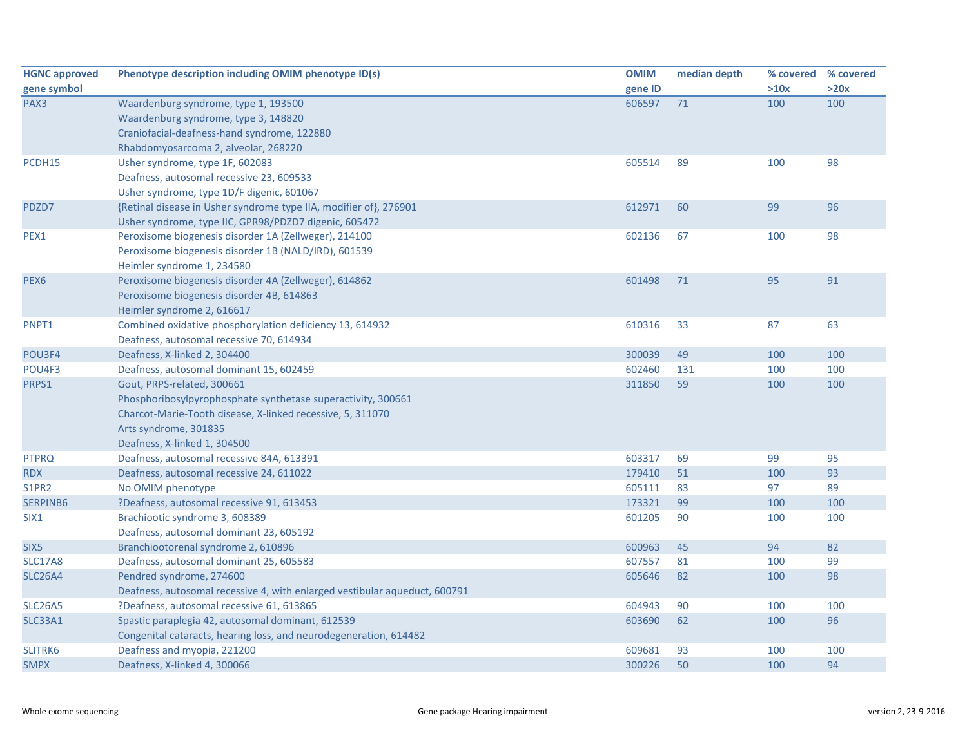| <b>HGNC approved</b> | Phenotype description including OMIM phenotype ID(s)                       | <b>OMIM</b> | median depth |      | % covered % covered |
|----------------------|----------------------------------------------------------------------------|-------------|--------------|------|---------------------|
| gene symbol          |                                                                            | gene ID     |              | >10x | >20x                |
| PAX3                 | Waardenburg syndrome, type 1, 193500                                       | 606597      | 71           | 100  | 100                 |
|                      | Waardenburg syndrome, type 3, 148820                                       |             |              |      |                     |
|                      | Craniofacial-deafness-hand syndrome, 122880                                |             |              |      |                     |
|                      | Rhabdomyosarcoma 2, alveolar, 268220                                       |             |              |      |                     |
| PCDH15               | Usher syndrome, type 1F, 602083                                            | 605514      | 89           | 100  | 98                  |
|                      | Deafness, autosomal recessive 23, 609533                                   |             |              |      |                     |
|                      | Usher syndrome, type 1D/F digenic, 601067                                  |             |              |      |                     |
| PDZD7                | {Retinal disease in Usher syndrome type IIA, modifier of}, 276901          | 612971      | 60           | 99   | 96                  |
|                      | Usher syndrome, type IIC, GPR98/PDZD7 digenic, 605472                      |             |              |      |                     |
| PEX1                 | Peroxisome biogenesis disorder 1A (Zellweger), 214100                      | 602136      | 67           | 100  | 98                  |
|                      | Peroxisome biogenesis disorder 1B (NALD/IRD), 601539                       |             |              |      |                     |
|                      | Heimler syndrome 1, 234580                                                 |             |              |      |                     |
| PEX <sub>6</sub>     | Peroxisome biogenesis disorder 4A (Zellweger), 614862                      | 601498      | 71           | 95   | 91                  |
|                      | Peroxisome biogenesis disorder 4B, 614863                                  |             |              |      |                     |
|                      | Heimler syndrome 2, 616617                                                 |             |              |      |                     |
| PNPT1                | Combined oxidative phosphorylation deficiency 13, 614932                   | 610316      | 33           | 87   | 63                  |
|                      | Deafness, autosomal recessive 70, 614934                                   |             |              |      |                     |
| POU3F4               | Deafness, X-linked 2, 304400                                               | 300039      | 49           | 100  | 100                 |
| POU4F3               | Deafness, autosomal dominant 15, 602459                                    | 602460      | 131          | 100  | 100                 |
| PRPS1                | Gout, PRPS-related, 300661                                                 | 311850      | 59           | 100  | 100                 |
|                      | Phosphoribosylpyrophosphate synthetase superactivity, 300661               |             |              |      |                     |
|                      | Charcot-Marie-Tooth disease, X-linked recessive, 5, 311070                 |             |              |      |                     |
|                      | Arts syndrome, 301835                                                      |             |              |      |                     |
|                      | Deafness, X-linked 1, 304500                                               |             |              |      |                     |
| <b>PTPRQ</b>         | Deafness, autosomal recessive 84A, 613391                                  | 603317      | 69           | 99   | 95                  |
| <b>RDX</b>           | Deafness, autosomal recessive 24, 611022                                   | 179410      | 51           | 100  | 93                  |
| S1PR2                | No OMIM phenotype                                                          | 605111      | 83           | 97   | 89                  |
| SERPINB6             | ?Deafness, autosomal recessive 91, 613453                                  | 173321      | 99           | 100  | 100                 |
| SIX <sub>1</sub>     | Brachiootic syndrome 3, 608389                                             | 601205      | 90           | 100  | 100                 |
|                      | Deafness, autosomal dominant 23, 605192                                    |             |              |      |                     |
| SIX <sub>5</sub>     | Branchiootorenal syndrome 2, 610896                                        | 600963      | 45           | 94   | 82                  |
| <b>SLC17A8</b>       | Deafness, autosomal dominant 25, 605583                                    | 607557      | 81           | 100  | 99                  |
| <b>SLC26A4</b>       | Pendred syndrome, 274600                                                   | 605646      | 82           | 100  | 98                  |
|                      | Deafness, autosomal recessive 4, with enlarged vestibular aqueduct, 600791 |             |              |      |                     |
| <b>SLC26A5</b>       | ?Deafness, autosomal recessive 61, 613865                                  | 604943      | 90           | 100  | 100                 |
| SLC33A1              | Spastic paraplegia 42, autosomal dominant, 612539                          | 603690      | 62           | 100  | 96                  |
|                      | Congenital cataracts, hearing loss, and neurodegeneration, 614482          |             |              |      |                     |
| SLITRK6              | Deafness and myopia, 221200                                                | 609681      | 93           | 100  | 100                 |
| <b>SMPX</b>          | Deafness, X-linked 4, 300066                                               | 300226      | 50           | 100  | 94                  |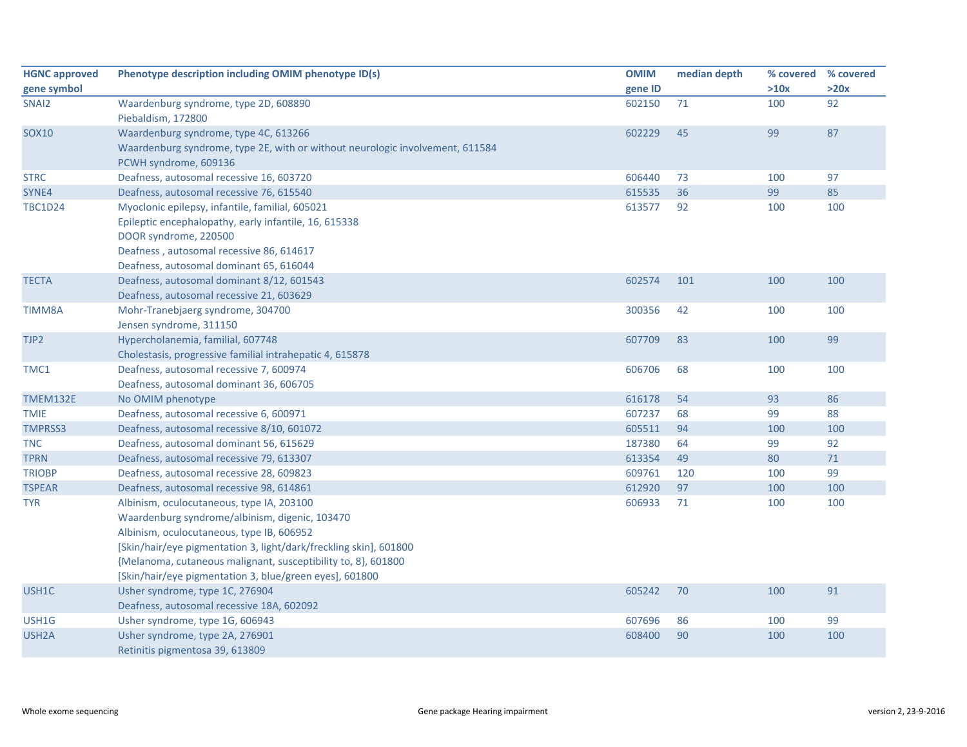| <b>HGNC approved</b> | Phenotype description including OMIM phenotype ID(s)                          | <b>OMIM</b> | median depth | % covered % covered |      |
|----------------------|-------------------------------------------------------------------------------|-------------|--------------|---------------------|------|
| gene symbol          |                                                                               | gene ID     |              | >10x                | >20x |
| SNAI <sub>2</sub>    | Waardenburg syndrome, type 2D, 608890                                         | 602150      | 71           | 100                 | 92   |
|                      | Piebaldism, 172800                                                            |             |              |                     |      |
| <b>SOX10</b>         | Waardenburg syndrome, type 4C, 613266                                         | 602229      | 45           | 99                  | 87   |
|                      | Waardenburg syndrome, type 2E, with or without neurologic involvement, 611584 |             |              |                     |      |
|                      | PCWH syndrome, 609136                                                         |             |              |                     |      |
| <b>STRC</b>          | Deafness, autosomal recessive 16, 603720                                      | 606440      | 73           | 100                 | 97   |
| SYNE4                | Deafness, autosomal recessive 76, 615540                                      | 615535      | 36           | 99                  | 85   |
| <b>TBC1D24</b>       | Myoclonic epilepsy, infantile, familial, 605021                               | 613577      | 92           | 100                 | 100  |
|                      | Epileptic encephalopathy, early infantile, 16, 615338                         |             |              |                     |      |
|                      | DOOR syndrome, 220500                                                         |             |              |                     |      |
|                      | Deafness, autosomal recessive 86, 614617                                      |             |              |                     |      |
|                      | Deafness, autosomal dominant 65, 616044                                       |             |              |                     |      |
| <b>TECTA</b>         | Deafness, autosomal dominant 8/12, 601543                                     | 602574      | 101          | 100                 | 100  |
|                      | Deafness, autosomal recessive 21, 603629                                      |             |              |                     |      |
| TIMM8A               | Mohr-Tranebjaerg syndrome, 304700                                             | 300356      | 42           | 100                 | 100  |
|                      | Jensen syndrome, 311150                                                       |             |              |                     |      |
| TJP2                 | Hypercholanemia, familial, 607748                                             | 607709      | 83           | 100                 | 99   |
|                      | Cholestasis, progressive familial intrahepatic 4, 615878                      |             |              |                     |      |
| TMC1                 | Deafness, autosomal recessive 7, 600974                                       | 606706      | 68           | 100                 | 100  |
|                      | Deafness, autosomal dominant 36, 606705                                       |             |              |                     |      |
| <b>TMEM132E</b>      | No OMIM phenotype                                                             | 616178      | 54           | 93                  | 86   |
| <b>TMIE</b>          | Deafness, autosomal recessive 6, 600971                                       | 607237      | 68           | 99                  | 88   |
| <b>TMPRSS3</b>       | Deafness, autosomal recessive 8/10, 601072                                    | 605511      | 94           | 100                 | 100  |
| <b>TNC</b>           | Deafness, autosomal dominant 56, 615629                                       | 187380      | 64           | 99                  | 92   |
| <b>TPRN</b>          | Deafness, autosomal recessive 79, 613307                                      | 613354      | 49           | 80                  | 71   |
| <b>TRIOBP</b>        | Deafness, autosomal recessive 28, 609823                                      | 609761      | 120          | 100                 | 99   |
| <b>TSPEAR</b>        | Deafness, autosomal recessive 98, 614861                                      | 612920      | 97           | 100                 | 100  |
| <b>TYR</b>           | Albinism, oculocutaneous, type IA, 203100                                     | 606933      | 71           | 100                 | 100  |
|                      | Waardenburg syndrome/albinism, digenic, 103470                                |             |              |                     |      |
|                      | Albinism, oculocutaneous, type IB, 606952                                     |             |              |                     |      |
|                      | [Skin/hair/eye pigmentation 3, light/dark/freckling skin], 601800             |             |              |                     |      |
|                      | {Melanoma, cutaneous malignant, susceptibility to, 8}, 601800                 |             |              |                     |      |
|                      | [Skin/hair/eye pigmentation 3, blue/green eyes], 601800                       |             |              |                     |      |
| USH1C                | Usher syndrome, type 1C, 276904                                               | 605242      | 70           | 100                 | 91   |
|                      | Deafness, autosomal recessive 18A, 602092                                     |             |              |                     |      |
| USH1G                | Usher syndrome, type 1G, 606943                                               | 607696      | 86           | 100                 | 99   |
| USH <sub>2</sub> A   | Usher syndrome, type 2A, 276901                                               | 608400      | 90           | 100                 | 100  |
|                      | Retinitis pigmentosa 39, 613809                                               |             |              |                     |      |